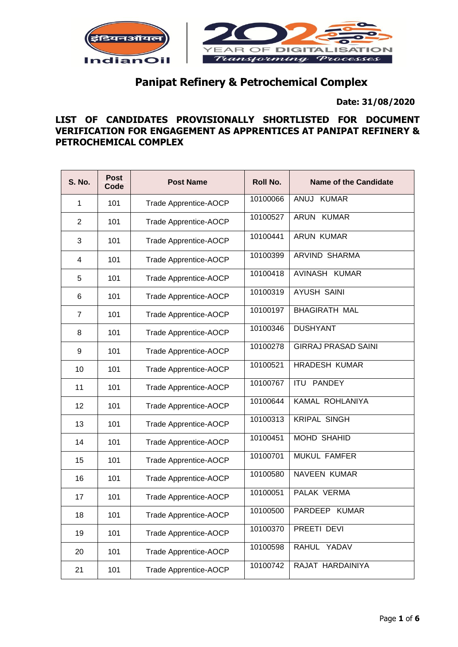

# **Panipat Refinery & Petrochemical Complex**

 **Date: 31/08/2020**

## **LIST OF CANDIDATES PROVISIONALLY SHORTLISTED FOR DOCUMENT VERIFICATION FOR ENGAGEMENT AS APPRENTICES AT PANIPAT REFINERY & PETROCHEMICAL COMPLEX**

| <b>S. No.</b>  | <b>Post</b><br>Code | <b>Post Name</b>             | <b>Roll No.</b> | <b>Name of the Candidate</b> |
|----------------|---------------------|------------------------------|-----------------|------------------------------|
| 1              | 101                 | Trade Apprentice-AOCP        | 10100066        | ANUJ KUMAR                   |
| 2              | 101                 | Trade Apprentice-AOCP        | 10100527        | ARUN KUMAR                   |
| 3              | 101                 | Trade Apprentice-AOCP        | 10100441        | <b>ARUN KUMAR</b>            |
| 4              | 101                 | Trade Apprentice-AOCP        | 10100399        | <b>ARVIND SHARMA</b>         |
| 5              | 101                 | Trade Apprentice-AOCP        | 10100418        | AVINASH KUMAR                |
| 6              | 101                 | Trade Apprentice-AOCP        | 10100319        | <b>AYUSH SAINI</b>           |
| $\overline{7}$ | 101                 | Trade Apprentice-AOCP        | 10100197        | <b>BHAGIRATH MAL</b>         |
| 8              | 101                 | Trade Apprentice-AOCP        | 10100346        | <b>DUSHYANT</b>              |
| 9              | 101                 | Trade Apprentice-AOCP        | 10100278        | <b>GIRRAJ PRASAD SAINI</b>   |
| 10             | 101                 | Trade Apprentice-AOCP        | 10100521        | <b>HRADESH KUMAR</b>         |
| 11             | 101                 | Trade Apprentice-AOCP        | 10100767        | <b>ITU PANDEY</b>            |
| 12             | 101                 | Trade Apprentice-AOCP        | 10100644        | KAMAL ROHLANIYA              |
| 13             | 101                 | <b>Trade Apprentice-AOCP</b> | 10100313        | <b>KRIPAL SINGH</b>          |
| 14             | 101                 | Trade Apprentice-AOCP        | 10100451        | <b>MOHD SHAHID</b>           |
| 15             | 101                 | Trade Apprentice-AOCP        | 10100701        | <b>MUKUL FAMFER</b>          |
| 16             | 101                 | Trade Apprentice-AOCP        | 10100580        | <b>NAVEEN KUMAR</b>          |
| 17             | 101                 | Trade Apprentice-AOCP        | 10100051        | PALAK VERMA                  |
| 18             | 101                 | Trade Apprentice-AOCP        | 10100500        | PARDEEP KUMAR                |
| 19             | 101                 | Trade Apprentice-AOCP        | 10100370        | PREETI DEVI                  |
| 20             | 101                 | Trade Apprentice-AOCP        | 10100598        | RAHUL YADAV                  |
| 21             | 101                 | Trade Apprentice-AOCP        | 10100742        | RAJAT HARDAINIYA             |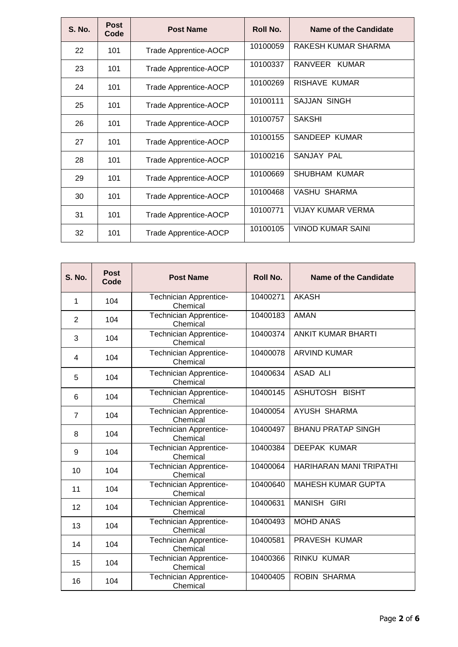| <b>S. No.</b> | <b>Post</b><br>Code | <b>Post Name</b>      | Roll No. | Name of the Candidate    |
|---------------|---------------------|-----------------------|----------|--------------------------|
| 22            | 101                 | Trade Apprentice-AOCP | 10100059 | RAKESH KUMAR SHARMA      |
| 23            | 101                 | Trade Apprentice-AOCP | 10100337 | RANVEER KUMAR            |
| 24            | 101                 | Trade Apprentice-AOCP | 10100269 | <b>RISHAVE KUMAR</b>     |
| 25            | 101                 | Trade Apprentice-AOCP | 10100111 | <b>SAJJAN SINGH</b>      |
| 26            | 101                 | Trade Apprentice-AOCP | 10100757 | <b>SAKSHI</b>            |
| 27            | 101                 | Trade Apprentice-AOCP | 10100155 | SANDEEP KUMAR            |
| 28            | 101                 | Trade Apprentice-AOCP | 10100216 | SANJAY PAL               |
| 29            | 101                 | Trade Apprentice-AOCP | 10100669 | <b>SHUBHAM KUMAR</b>     |
| 30            | 101                 | Trade Apprentice-AOCP | 10100468 | VASHU SHARMA             |
| 31            | 101                 | Trade Apprentice-AOCP | 10100771 | <b>VIJAY KUMAR VERMA</b> |
| 32            | 101                 | Trade Apprentice-AOCP | 10100105 | <b>VINOD KUMAR SAINI</b> |

| <b>S. No.</b>  | <b>Post</b><br>Code | <b>Post Name</b>                          | Roll No. | Name of the Candidate     |
|----------------|---------------------|-------------------------------------------|----------|---------------------------|
| 1              | 104                 | Technician Apprentice-<br>Chemical        | 10400271 | <b>AKASH</b>              |
| 2              | 104                 | Technician Apprentice-<br>Chemical        | 10400183 | <b>AMAN</b>               |
| 3              | 104                 | Technician Apprentice-<br>Chemical        | 10400374 | <b>ANKIT KUMAR BHARTI</b> |
| 4              | 104                 | <b>Technician Apprentice-</b><br>Chemical | 10400078 | <b>ARVIND KUMAR</b>       |
| 5              | 104                 | Technician Apprentice-<br>Chemical        | 10400634 | ASAD ALI                  |
| 6              | 104                 | <b>Technician Apprentice-</b><br>Chemical | 10400145 | ASHUTOSH BISHT            |
| $\overline{7}$ | 104                 | Technician Apprentice-<br>Chemical        | 10400054 | <b>AYUSH SHARMA</b>       |
| 8              | 104                 | Technician Apprentice-<br>Chemical        | 10400497 | <b>BHANU PRATAP SINGH</b> |
| 9              | 104                 | Technician Apprentice-<br>Chemical        | 10400384 | <b>DEEPAK KUMAR</b>       |
| 10             | 104                 | Technician Apprentice-<br>Chemical        | 10400064 | HARIHARAN MANI TRIPATHI   |
| 11             | 104                 | Technician Apprentice-<br>Chemical        | 10400640 | <b>MAHESH KUMAR GUPTA</b> |
| 12             | 104                 | Technician Apprentice-<br>Chemical        | 10400631 | <b>MANISH GIRI</b>        |
| 13             | 104                 | Technician Apprentice-<br>Chemical        | 10400493 | <b>MOHD ANAS</b>          |
| 14             | 104                 | Technician Apprentice-<br>Chemical        | 10400581 | <b>PRAVESH KUMAR</b>      |
| 15             | 104                 | Technician Apprentice-<br>Chemical        | 10400366 | <b>RINKU KUMAR</b>        |
| 16             | 104                 | Technician Apprentice-<br>Chemical        | 10400405 | <b>ROBIN SHARMA</b>       |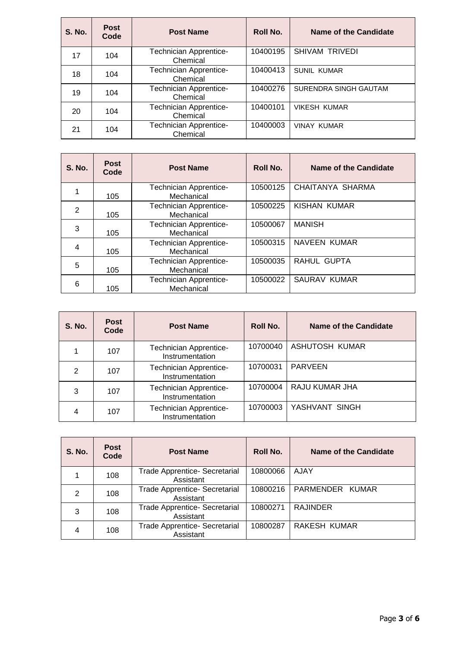| <b>S. No.</b> | <b>Post</b><br>Code | <b>Post Name</b>                          | Roll No. | Name of the Candidate |
|---------------|---------------------|-------------------------------------------|----------|-----------------------|
| 17            | 104                 | <b>Technician Apprentice-</b><br>Chemical | 10400195 | SHIVAM TRIVEDI        |
| 18            | 104                 | <b>Technician Apprentice-</b><br>Chemical | 10400413 | <b>SUNIL KUMAR</b>    |
| 19            | 104                 | <b>Technician Apprentice-</b><br>Chemical | 10400276 | SURENDRA SINGH GAUTAM |
| 20            | 104                 | <b>Technician Apprentice-</b><br>Chemical | 10400101 | <b>VIKESH KUMAR</b>   |
| 21            | 104                 | <b>Technician Apprentice-</b><br>Chemical | 10400003 | <b>VINAY KUMAR</b>    |

| <b>S. No.</b> | <b>Post</b><br>Code | <b>Post Name</b>                            | Roll No. | Name of the Candidate |
|---------------|---------------------|---------------------------------------------|----------|-----------------------|
|               | 105                 | <b>Technician Apprentice-</b><br>Mechanical | 10500125 | CHAITANYA SHARMA      |
| 2             | 105                 | <b>Technician Apprentice-</b><br>Mechanical | 10500225 | KISHAN KUMAR          |
| 3             | 105                 | <b>Technician Apprentice-</b><br>Mechanical | 10500067 | <b>MANISH</b>         |
| 4             | 105                 | <b>Technician Apprentice-</b><br>Mechanical | 10500315 | NAVEEN KUMAR          |
| 5             | 105                 | <b>Technician Apprentice-</b><br>Mechanical | 10500035 | RAHUL GUPTA           |
| 6             | 105                 | <b>Technician Apprentice-</b><br>Mechanical | 10500022 | SAURAV KUMAR          |

| <b>S. No.</b> | <b>Post</b><br>Code | <b>Post Name</b>                                 | Roll No. | <b>Name of the Candidate</b> |
|---------------|---------------------|--------------------------------------------------|----------|------------------------------|
|               | 107                 | <b>Technician Apprentice-</b><br>Instrumentation | 10700040 | ASHUTOSH KUMAR               |
| 2             | 107                 | <b>Technician Apprentice-</b><br>Instrumentation | 10700031 | <b>PARVEEN</b>               |
| 3             | 107                 | <b>Technician Apprentice-</b><br>Instrumentation | 10700004 | RAJU KUMAR JHA               |
| 4             | 107                 | <b>Technician Apprentice-</b><br>Instrumentation | 10700003 | YASHVANT SINGH               |

| <b>S. No.</b> | <b>Post</b><br>Code | <b>Post Name</b>                                  | Roll No. | <b>Name of the Candidate</b> |
|---------------|---------------------|---------------------------------------------------|----------|------------------------------|
|               | 108                 | Trade Apprentice- Secretarial<br>Assistant        | 10800066 | AJAY                         |
| 2             | 108                 | <b>Trade Apprentice- Secretarial</b><br>Assistant | 10800216 | PARMENDER KUMAR              |
| 3             | 108                 | Trade Apprentice- Secretarial<br>Assistant        | 10800271 | <b>RAJINDER</b>              |
| 4             | 108                 | <b>Trade Apprentice- Secretarial</b><br>Assistant | 10800287 | RAKESH KUMAR                 |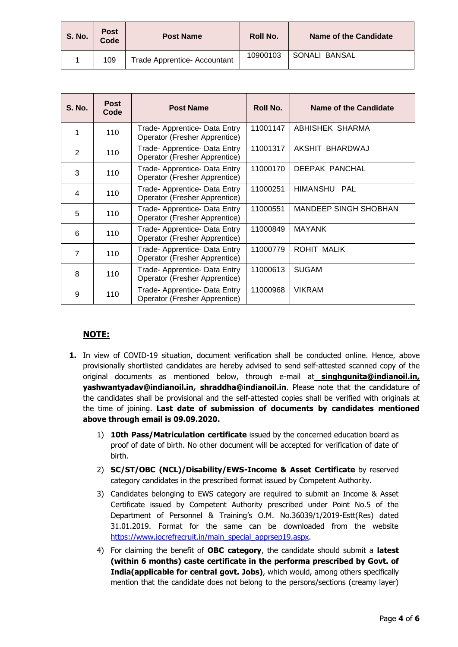| <b>S. No.</b> | <b>Post</b><br>Code | <b>Post Name</b>             | Roll No. | <b>Name of the Candidate</b> |
|---------------|---------------------|------------------------------|----------|------------------------------|
|               | 109                 | Trade Apprentice- Accountant | 10900103 | SONALI BANSAL                |

| <b>S. No.</b>  | <b>Post</b><br>Code | <b>Post Name</b>                                               | Roll No. | Name of the Candidate        |
|----------------|---------------------|----------------------------------------------------------------|----------|------------------------------|
| 1              | 110                 | Trade- Apprentice- Data Entry<br>Operator (Fresher Apprentice) | 11001147 | ABHISHEK SHARMA              |
| 2              | 110                 | Trade- Apprentice- Data Entry<br>Operator (Fresher Apprentice) | 11001317 | AKSHIT BHARDWAJ              |
| 3              | 110                 | Trade- Apprentice- Data Entry<br>Operator (Fresher Apprentice) | 11000170 | DEEPAK PANCHAL               |
| 4              | 110                 | Trade- Apprentice- Data Entry<br>Operator (Fresher Apprentice) | 11000251 | HIMANSHU<br>PAI              |
| 5              | 110                 | Trade- Apprentice- Data Entry<br>Operator (Fresher Apprentice) | 11000551 | <b>MANDEEP SINGH SHOBHAN</b> |
| 6              | 110                 | Trade- Apprentice- Data Entry<br>Operator (Fresher Apprentice) | 11000849 | <b>MAYANK</b>                |
| $\overline{7}$ | 110                 | Trade- Apprentice- Data Entry<br>Operator (Fresher Apprentice) | 11000779 | ROHIT MALIK                  |
| 8              | 110                 | Trade- Apprentice- Data Entry<br>Operator (Fresher Apprentice) | 11000613 | <b>SUGAM</b>                 |
| 9              | 110                 | Trade- Apprentice- Data Entry<br>Operator (Fresher Apprentice) | 11000968 | <b>VIKRAM</b>                |

## **NOTE:**

- **1.** In view of COVID-19 situation, document verification shall be conducted online. Hence, above provisionally shortlisted candidates are hereby advised to send self-attested scanned copy of the original documents as mentioned below, through e-mail at **singhgunita@indianoil.in, yashwantyadav@indianoil.in, shraddha@indianoil.in**. Please note that the candidature of the candidates shall be provisional and the self-attested copies shall be verified with originals at the time of joining. **Last date of submission of documents by candidates mentioned above through email is 09.09.2020.**
	- 1) **10th Pass/Matriculation certificate** issued by the concerned education board as proof of date of birth. No other document will be accepted for verification of date of birth.
	- 2) **SC/ST/OBC (NCL)/Disability/EWS-Income & Asset Certificate** by reserved category candidates in the prescribed format issued by Competent Authority.
	- 3) Candidates belonging to EWS category are required to submit an Income & Asset Certificate issued by Competent Authority prescribed under Point No.5 of the Department of Personnel & Training's O.M. No.36039/1/2019-Estt(Res) dated 31.01.2019. Format for the same can be downloaded from the website [https://www.iocrefrecruit.in/main\\_special\\_apprsep19.aspx.](https://www.iocrefrecruit.in/main_special_apprsep19.aspx)
	- 4) For claiming the benefit of **OBC category**, the candidate should submit a **latest (within 6 months) caste certificate in the performa prescribed by Govt. of India(applicable for central govt. Jobs)**, which would, among others specifically mention that the candidate does not belong to the persons/sections (creamy layer)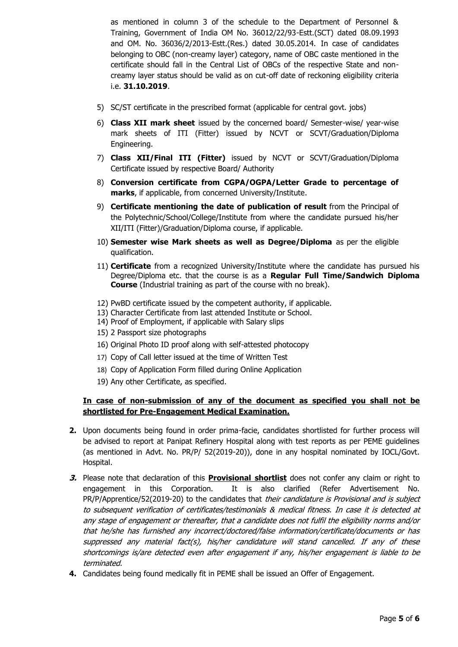as mentioned in column 3 of the schedule to the Department of Personnel & Training, Government of India OM No. 36012/22/93-Estt.(SCT) dated 08.09.1993 and OM. No. 36036/2/2013-Estt.(Res.) dated 30.05.2014. In case of candidates belonging to OBC (non-creamy layer) category, name of OBC caste mentioned in the certificate should fall in the Central List of OBCs of the respective State and noncreamy layer status should be valid as on cut-off date of reckoning eligibility criteria i.e. **31.10.2019**.

- 5) SC/ST certificate in the prescribed format (applicable for central govt. jobs)
- 6) **Class XII mark sheet** issued by the concerned board/ Semester-wise/ year-wise mark sheets of ITI (Fitter) issued by NCVT or SCVT/Graduation/Diploma Engineering.
- 7) **Class XII/Final ITI (Fitter)** issued by NCVT or SCVT/Graduation/Diploma Certificate issued by respective Board/ Authority
- 8) **Conversion certificate from CGPA/OGPA/Letter Grade to percentage of marks**, if applicable, from concerned University/Institute.
- 9) **Certificate mentioning the date of publication of result** from the Principal of the Polytechnic/School/College/Institute from where the candidate pursued his/her XII/ITI (Fitter)/Graduation/Diploma course, if applicable.
- 10) **Semester wise Mark sheets as well as Degree/Diploma** as per the eligible qualification.
- 11) **Certificate** from a recognized University/Institute where the candidate has pursued his Degree/Diploma etc. that the course is as a **Regular Full Time/Sandwich Diploma Course** (Industrial training as part of the course with no break).
- 12) PwBD certificate issued by the competent authority, if applicable.
- 13) Character Certificate from last attended Institute or School.
- 14) Proof of Employment, if applicable with Salary slips
- 15) 2 Passport size photographs
- 16) Original Photo ID proof along with self-attested photocopy
- 17) Copy of Call letter issued at the time of Written Test
- 18) Copy of Application Form filled during Online Application
- 19) Any other Certificate, as specified.

#### **In case of non-submission of any of the document as specified you shall not be shortlisted for Pre-Engagement Medical Examination.**

- **2.** Upon documents being found in order prima-facie, candidates shortlisted for further process will be advised to report at Panipat Refinery Hospital along with test reports as per PEME guidelines (as mentioned in Advt. No. PR/P/ 52(2019-20)), done in any hospital nominated by IOCL/Govt. Hospital.
- **3.** Please note that declaration of this **Provisional shortlist** does not confer any claim or right to engagement in this Corporation. It is also clarified (Refer Advertisement No. PR/P/Apprentice/52(2019-20) to the candidates that their candidature is Provisional and is subject to subsequent verification of certificates/testimonials & medical fitness. In case it is detected at any stage of engagement or thereafter, that a candidate does not fulfil the eligibility norms and/or that he/she has furnished any incorrect/doctored/false information/certificate/documents or has suppressed any material fact(s), his/her candidature will stand cancelled. If any of these shortcomings is/are detected even after engagement if any, his/her engagement is liable to be terminated.
- **4.** Candidates being found medically fit in PEME shall be issued an Offer of Engagement.